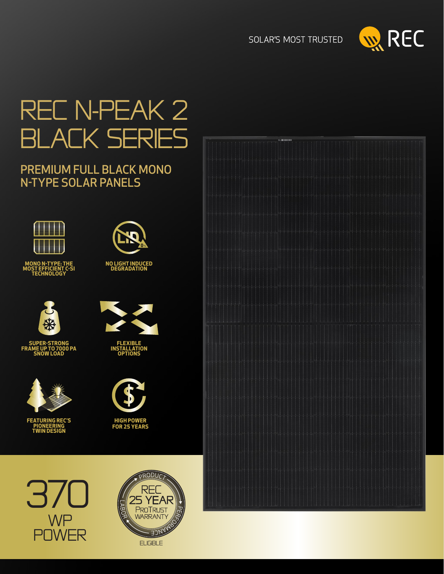



# rec N-Peak 2 black Series

### PREMIUM FULL BLACK MONO N-TYPE SOLAR PANELS





**SUPER-STRONG FRAME UP TO 7000 PA SNOW LOAD**



**FEATURING REC'S PIONEERING TWIN DESIGN**



**NO LIGHT INDUCED DEGRADATION**

**FLEXIBLE INSTALLATION OPTIONS**



**HIGH POWER FOR 25 YEARS**